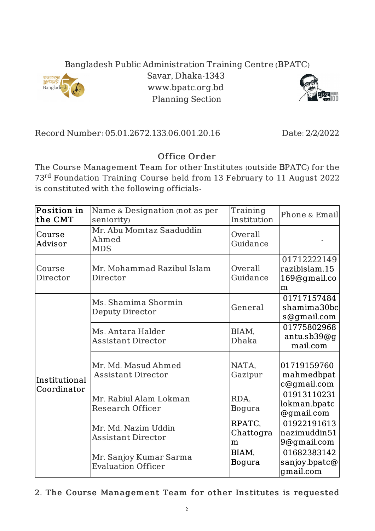## Bangladesh Public Administration Training Centre (BPATC)



Savar, Dhaka-1343 www.bpatc.org.bd Planning Section



Record Number: 05.01.2672.133.06.001.20.16 Date: 2/2/2022

## Office Order

The Course Management Team for other Institutes (outside BPATC) for the 73<sup>rd</sup> Foundation Training Course held from 13 February to 11 August 2022 is constituted with the following officials-

| Position in<br>the CMT       | Name & Designation (not as per<br>seniority)        | Training<br>Institution  | Phone & Email                                     |
|------------------------------|-----------------------------------------------------|--------------------------|---------------------------------------------------|
| Course<br>Advisor            | Mr. Abu Momtaz Saaduddin<br>Ahmed<br><b>MDS</b>     | Overall<br>Guidance      |                                                   |
| Course<br>Director           | Mr. Mohammad Razibul Islam<br>Director              | Overall<br>Guidance      | 01712222149<br>razibislam.15<br>169@gmail.co<br>m |
| Institutional<br>Coordinator | Ms. Shamima Shormin<br><b>Deputy Director</b>       | General                  | 01717157484<br>shamima30bc<br>s@gmail.com         |
|                              | Ms. Antara Halder<br><b>Assistant Director</b>      | BIAM,<br>Dhaka           | 01775802968<br>antu.sb39@g<br>mail.com            |
|                              | Mr. Md. Masud Ahmed<br><b>Assistant Director</b>    | NATA,<br>Gazipur         | 01719159760<br>mahmedbpat<br>c@gmail.com          |
|                              | Mr. Rabiul Alam Lokman<br>Research Officer          | RDA,<br>Bogura           | 01913110231<br>lokman.bpatc<br>@gmail.com         |
|                              | Mr. Md. Nazim Uddin<br><b>Assistant Director</b>    | RPATC,<br>Chattogra<br>m | 01922191613<br>nazimuddin51<br>9@gmail.com        |
|                              | Mr. Sanjoy Kumar Sarma<br><b>Evaluation Officer</b> | BIAM,<br>Bogura          | 01682383142<br>sanjoy.bpatc@<br>gmail.com         |

2. The Course Management Team for other Institutes is requested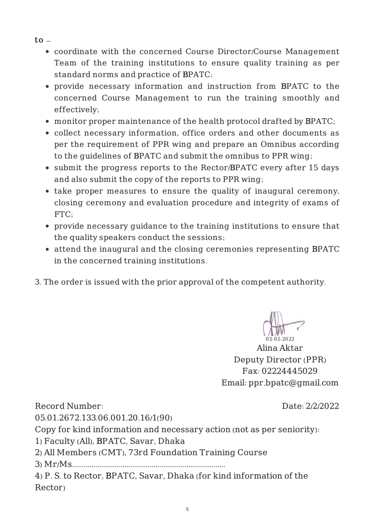- $\mathsf{to}$ 
	- coordinate with the concerned Course Director/Course Management Team of the training institutions to ensure quality training as per standard norms and practice of BPATC;
	- provide necessary information and instruction from BPATC to the concerned Course Management to run the training smoothly and effectively;
	- monitor proper maintenance of the health protocol drafted by BPATC;
	- collect necessary information, office orders and other documents as per the requirement of PPR wing and prepare an Omnibus according to the guidelines of BPATC and submit the omnibus to PPR wing;
	- submit the progress reports to the Rector/BPATC every after 15 days and also submit the copy of the reports to PPR wing;
	- take proper measures to ensure the quality of inaugural ceremony, closing ceremony and evaluation procedure and integrity of exams of FTC;
	- provide necessary guidance to the training institutions to ensure that the quality speakers conduct the sessions;
	- attend the inaugural and the closing ceremonies representing BPATC in the concerned training institutions.
- 3. The order is issued with the prior approval of the competent authority.

02-02-2022

Alina Aktar Deputy Director (PPR) Fax: 02224445029 Email: ppr.bpatc@gmail.com

Record Number:

Date: 2/2/2022

05.01.2672.133.06.001.20.16/1(90)

Copy for kind information and necessary action (not as per seniority):

1) Faculty (All), BPATC, Savar, Dhaka

2) All Members (CMT), 73rd Foundation Training Course

3) Mr/Ms...............................................................................

4) P. S. to Rector, BPATC, Savar, Dhaka (for kind information of the Rector)